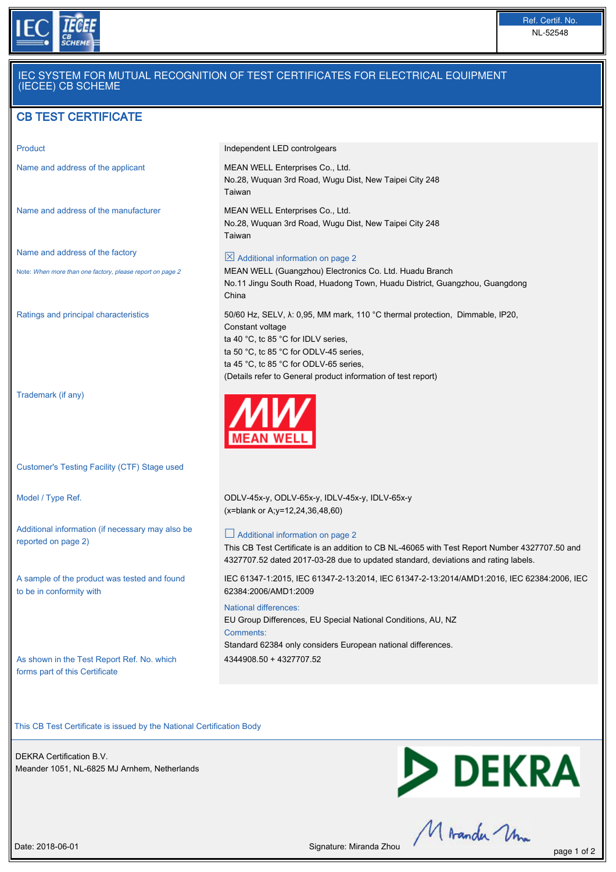

# IEC SYSTEM FOR MUTUAL RECOGNITION OF TEST CERTIFICATES FOR ELECTRICAL EQUIPMENT (IECEE) CB SCHEME

# CB TEST CERTIFICATE

Name and address of the manufacturer MEAN WELL Enterprises Co., Ltd.

Name and address of the factory

Note: When more than one factory, please report on page 2

Trademark (if any)

Customer's Testing Facility (CTF) Stage used

Additional information (if necessary may also be reported on page 2)

A sample of the product was tested and found to be in conformity with

As shown in the Test Report Ref. No. which forms part of this Certificate

Product **Independent LED controlgears** 

Name and address of the applicant MEAN WELL Enterprises Co., Ltd. No.28, Wuquan 3rd Road, Wugu Dist, New Taipei City 248 Taiwan

> No.28, Wuquan 3rd Road, Wugu Dist, New Taipei City 248 Taiwan

(Details refer to General product information of test report)

 $\boxtimes$  Additional information on page 2

MEAN WELL (Guangzhou) Electronics Co. Ltd. Huadu Branch No.11 Jingu South Road, Huadong Town, Huadu District, Guangzhou, Guangdong China

Ratings and principal characteristics 50/60 Hz, SELV, λ: 0,95, MM mark, 110 °C thermal protection, Dimmable, IP20, Constant voltage ta 40 °C, tc 85 °C for IDLV series, ta 50 °C, tc 85 °C for ODLV-45 series, ta 45 °C, tc 85 °C for ODLV-65 series,



Model / Type Ref. ODLV-45x-y, ODLV-65x-y, IDLV-45x-y, IDLV-65x-y (x=blank or A;y=12,24,36,48,60)

### $\Box$  Additional information on page 2

This CB Test Certificate is an addition to CB NL-46065 with Test Report Number 4327707.50 and 4327707.52 dated 2017-03-28 due to updated standard, deviations and rating labels.

IEC 61347-1:2015, IEC 61347-2-13:2014, IEC 61347-2-13:2014/AMD1:2016, IEC 62384:2006, IEC 62384:2006/AMD1:2009

#### National differences:

EU Group Differences, EU Special National Conditions, AU, NZ Comments: Standard 62384 only considers European national differences. 4344908.50 + 4327707.52

This CB Test Certificate is issued by the National Certification Body

DEKRA Certification B.V. Meander 1051, NL-6825 MJ Arnhem, Netherlands